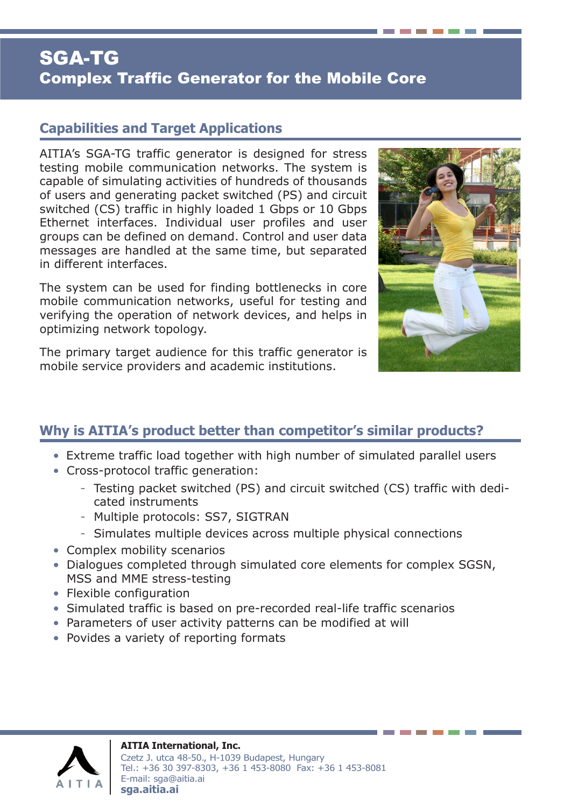# SGA-TG Complex Traffic Generator for the Mobile Core

#### **Capabilities and Target Applications**

AITIA's SGA-TG traffic generator is designed for stress testing mobile communication networks. The system is capable of simulating activities of hundreds of thousands of users and generating packet switched (PS) and circuit switched (CS) traffic in highly loaded 1 Gbps or 10 Gbps Ethernet interfaces. Individual user profiles and user groups can be defined on demand. Control and user data messages are handled at the same time, but separated in different interfaces.

The system can be used for finding bottlenecks in core mobile communication networks, useful for testing and verifying the operation of network devices, and helps in optimizing network topology.

The primary target audience for this traffic generator is mobile service providers and academic institutions.



## **Why is AITIA's product better than competitor's similar products?**

- Extreme traffic load together with high number of simulated parallel users
- Cross-protocol traffic generation:
	- Testing packet switched (PS) and circuit switched (CS) traffic with dedicated instruments
	- Multiple protocols: SS7, SIGTRAN
	- Simulates multiple devices across multiple physical connections
- Complex mobility scenarios
- Dialogues completed through simulated core elements for complex SGSN, MSS and MME stress-testing
- Flexible configuration
- Simulated traffic is based on pre-recorded real-life traffic scenarios
- Parameters of user activity patterns can be modified at will
- Povides a variety of reporting formats